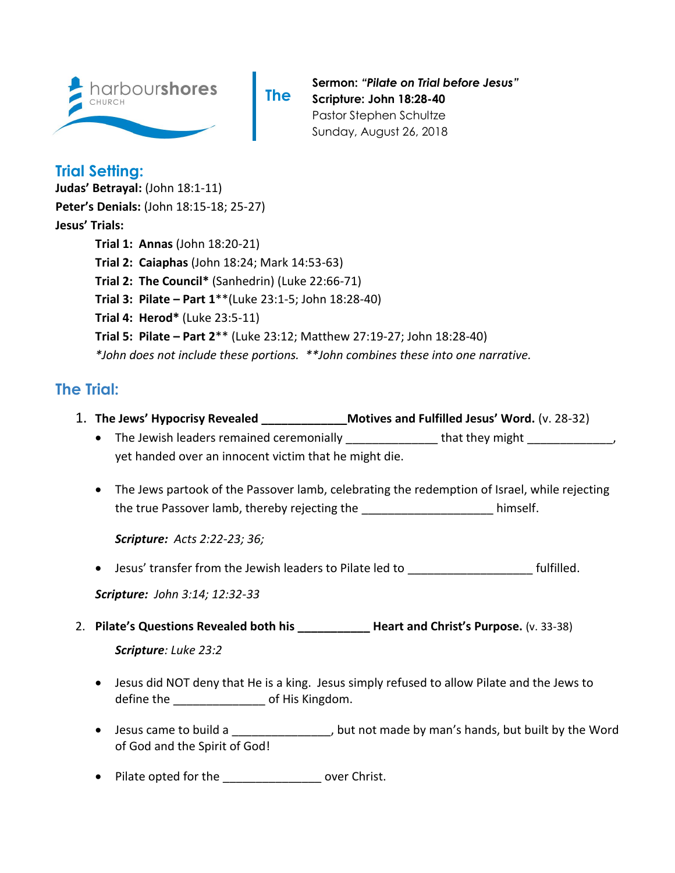

**The** 

**Sermon:** *"Pilate on Trial before Jesus"* **Scripture: John 18:28-40** Pastor Stephen Schultze Sunday, August 26, 2018

## **Trial Setting:**

**Judas' Betrayal:** (John 18:1-11) **Peter's Denials:** (John 18:15-18; 25-27) **Jesus' Trials: Trial 1: Annas** (John 18:20-21) **Trial 2: Caiaphas** (John 18:24; Mark 14:53-63) **Trial 2: The Council\*** (Sanhedrin) (Luke 22:66-71) **Trial 3: Pilate – Part 1**\*\*(Luke 23:1-5; John 18:28-40) **Trial 4: Herod\*** (Luke 23:5-11) **Trial 5: Pilate – Part 2**\*\* (Luke 23:12; Matthew 27:19-27; John 18:28-40) *\*John does not include these portions. \*\*John combines these into one narrative.*

## **The Trial:**

- 1. **The Jews' Hypocrisy Revealed \_\_\_\_\_\_\_\_\_\_\_\_\_Motives and Fulfilled Jesus' Word.** (v. 28-32)
	- The Jewish leaders remained ceremonially entity and that they might the series of the series of the series of the series of the series of the series of the series of the series of the series of the series of the series o yet handed over an innocent victim that he might die.
	- The Jews partook of the Passover lamb, celebrating the redemption of Israel, while rejecting the true Passover lamb, thereby rejecting the true whimself.

*Scripture: Acts 2:22-23; 36;* 

• Jesus' transfer from the Jewish leaders to Pilate led to **which in the fulfilled**.

*Scripture: John 3:14; 12:32-33* 

- 2. **Pilate's Questions Revealed both his \_\_\_\_\_\_\_\_\_\_\_ Heart and Christ's Purpose.** (v. 33-38) *Scripture: Luke 23:2*
	- Jesus did NOT deny that He is a king. Jesus simply refused to allow Pilate and the Jews to define the  $\qquad \qquad$  of His Kingdom.
	- Jesus came to build a \_\_\_\_\_\_\_\_\_\_\_\_\_\_, but not made by man's hands, but built by the Word of God and the Spirit of God!
	- Pilate opted for the metal over Christ.